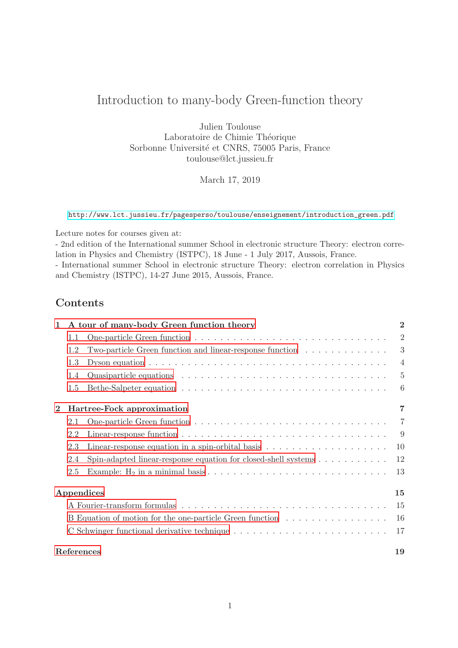# Introduction to many-body Green-function theory

Julien Toulouse Laboratoire de Chimie Théorique Sorbonne Université et CNRS, 75005 Paris, France toulouse@lct.jussieu.fr

March 17, 2019

[http://www.lct.jussieu.fr/pagesperso/toulouse/enseignement/introduction\\_green.pdf](http://www.lct.jussieu.fr/pagesperso/toulouse/enseignement/introduction_green.pdf)

Lecture notes for courses given at:

- 2nd edition of the International summer School in electronic structure Theory: electron correlation in Physics and Chemistry (ISTPC), 18 June - 1 July 2017, Aussois, France.

- International summer School in electronic structure Theory: electron correlation in Physics and Chemistry (ISTPC), 14-27 June 2015, Aussois, France.

## **Contents**

| $\mathbf{1}$ | A tour of many-body Green function theory |                                                                                                        | $\overline{2}$ |
|--------------|-------------------------------------------|--------------------------------------------------------------------------------------------------------|----------------|
|              | 1.1                                       |                                                                                                        | $\overline{2}$ |
|              | 1.2                                       | Two-particle Green function and linear-response function                                               | 3              |
|              | 1.3                                       |                                                                                                        | $\overline{4}$ |
|              | 1.4                                       | Quasiparticle equations $\ldots \ldots \ldots \ldots \ldots \ldots \ldots \ldots \ldots \ldots \ldots$ | $\overline{5}$ |
|              | 1.5                                       |                                                                                                        | 6              |
| $\mathbf{2}$ | Hartree-Fock approximation                |                                                                                                        | $\overline{7}$ |
|              | 2.1                                       |                                                                                                        | 7              |
|              | 2.2                                       |                                                                                                        | -9             |
|              | 2.3                                       | Linear-response equation in a spin-orbital basis $\dots \dots \dots \dots \dots \dots \dots$           | 10             |
|              | 2.4                                       | Spin-adapted linear-response equation for closed-shell systems $\dots \dots \dots$                     | 12             |
|              | 2.5                                       |                                                                                                        | 13             |
|              | Appendices                                |                                                                                                        |                |
|              |                                           |                                                                                                        | 15             |
|              |                                           | B Equation of motion for the one-particle Green function                                               | 16             |
|              |                                           |                                                                                                        | 17             |
|              | References                                |                                                                                                        |                |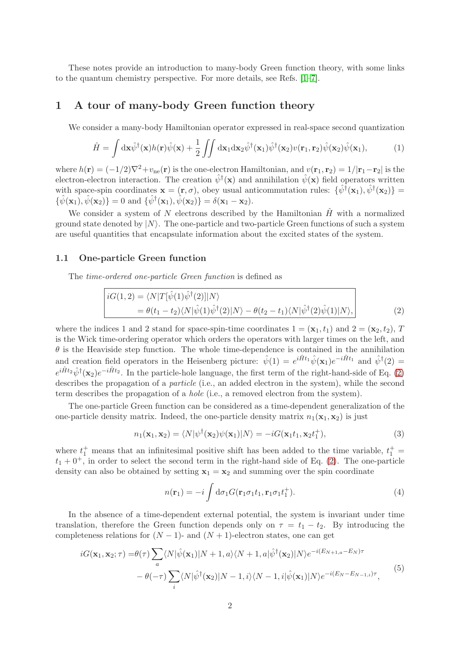These notes provide an introduction to many-body Green function theory, with some links to the quantum chemistry perspective. For more details, see Refs. [\[1–](#page-18-0)[7\]](#page-18-1).

### <span id="page-1-0"></span>1 A tour of many-body Green function theory

We consider a many-body Hamiltonian operator expressed in real-space second quantization

<span id="page-1-6"></span>
$$
\hat{H} = \int d\mathbf{x} \hat{\psi}^{\dagger}(\mathbf{x}) h(\mathbf{r}) \hat{\psi}(\mathbf{x}) + \frac{1}{2} \iint d\mathbf{x}_1 d\mathbf{x}_2 \hat{\psi}^{\dagger}(\mathbf{x}_1) \hat{\psi}^{\dagger}(\mathbf{x}_2) v(\mathbf{r}_1, \mathbf{r}_2) \hat{\psi}(\mathbf{x}_2) \hat{\psi}(\mathbf{x}_1), \tag{1}
$$

where  $h(\mathbf{r}) = (-1/2)\nabla^2 + v_{\text{ne}}(\mathbf{r})$  is the one-electron Hamiltonian, and  $v(\mathbf{r}_1, \mathbf{r}_2) = 1/|\mathbf{r}_1 - \mathbf{r}_2|$  is the electron-electron interaction. The creation  $\hat{\psi}^{\dagger}(\mathbf{x})$  and annihilation  $\hat{\psi}(\mathbf{x})$  field operators written with space-spin coordinates  $\mathbf{x} = (\mathbf{r}, \sigma)$ , obey usual anticommutation rules:  $\{\hat{\psi}^{\dagger}(\mathbf{x}_1), \hat{\psi}^{\dagger}(\mathbf{x}_2)\} =$  $\{\hat{\psi}(\mathbf{x}_1), \hat{\psi}(\mathbf{x}_2)\} = 0$  and  $\{\hat{\psi}^{\dagger}(\mathbf{x}_1), \hat{\psi}(\mathbf{x}_2)\} = \delta(\mathbf{x}_1 - \mathbf{x}_2).$ 

We consider a system of N electrons described by the Hamiltonian  $\hat{H}$  with a normalized ground state denoted by  $|N\rangle$ . The one-particle and two-particle Green functions of such a system are useful quantities that encapsulate information about the excited states of the system.

#### <span id="page-1-1"></span>1.1 One-particle Green function

The time-ordered one-particle Green function is defined as

$$
iG(1,2) = \langle N|T[\hat{\psi}(1)\hat{\psi}^{\dagger}(2)]|N\rangle
$$
  
=  $\theta(t_1 - t_2)\langle N|\hat{\psi}(1)\hat{\psi}^{\dagger}(2)|N\rangle - \theta(t_2 - t_1)\langle N|\hat{\psi}^{\dagger}(2)\hat{\psi}(1)|N\rangle,$  (2)

where the indices 1 and 2 stand for space-spin-time coordinates  $1 = (\mathbf{x}_1, t_1)$  and  $2 = (\mathbf{x}_2, t_2)$ , T is the Wick time-ordering operator which orders the operators with larger times on the left, and  $\theta$  is the Heaviside step function. The whole time-dependence is contained in the annihilation and creation field operators in the Heisenberg picture:  $\hat{\psi}(1) = e^{i\hat{H}t_1} \hat{\psi}(\mathbf{x}_1) e^{-i\hat{H}t_1}$  and  $\hat{\psi}^{\dagger}(2) =$  $e^{i\hat{H}t_2}\hat{\psi}^{\dagger}(\mathbf{x}_2)e^{-i\hat{H}t_2}$ . In the particle-hole language, the first term of the right-hand-side of Eq. [\(2\)](#page-1-2) describes the propagation of a *particle* (i.e., an added electron in the system), while the second term describes the propagation of a hole (i.e., a removed electron from the system).

The one-particle Green function can be considered as a time-dependent generalization of the one-particle density matrix. Indeed, the one-particle density matrix  $n_1(\mathbf{x}_1, \mathbf{x}_2)$  is just

<span id="page-1-5"></span><span id="page-1-2"></span>
$$
n_1(\mathbf{x}_1, \mathbf{x}_2) = \langle N | \psi^\dagger(\mathbf{x}_2) \psi(\mathbf{x}_1) | N \rangle = -i G(\mathbf{x}_1 t_1, \mathbf{x}_2 t_1^+), \tag{3}
$$

where  $t_1^+$  means that an infinitesimal positive shift has been added to the time variable,  $t_1^+$  =  $t_1 + 0^+$ , in order to select the second term in the right-hand side of Eq. [\(2\)](#page-1-2). The one-particle density can also be obtained by setting  $x_1 = x_2$  and summing over the spin coordinate

<span id="page-1-4"></span>
$$
n(\mathbf{r}_1) = -i \int d\sigma_1 G(\mathbf{r}_1 \sigma_1 t_1, \mathbf{r}_1 \sigma_1 t_1^+). \tag{4}
$$

In the absence of a time-dependent external potential, the system is invariant under time translation, therefore the Green function depends only on  $\tau = t_1 - t_2$ . By introducing the completeness relations for  $(N-1)$ - and  $(N+1)$ -electron states, one can get

<span id="page-1-3"></span>
$$
iG(\mathbf{x}_1, \mathbf{x}_2; \tau) = \theta(\tau) \sum_{a} \langle N|\hat{\psi}(\mathbf{x}_1)|N+1, a\rangle \langle N+1, a|\hat{\psi}^{\dagger}(\mathbf{x}_2)|N\rangle e^{-i(E_{N+1, a} - E_N)\tau} - \theta(-\tau) \sum_{i} \langle N|\hat{\psi}^{\dagger}(\mathbf{x}_2)|N-1, i\rangle \langle N-1, i|\hat{\psi}(\mathbf{x}_1)|N\rangle e^{-i(E_N - E_{N-1, i})\tau},
$$
(5)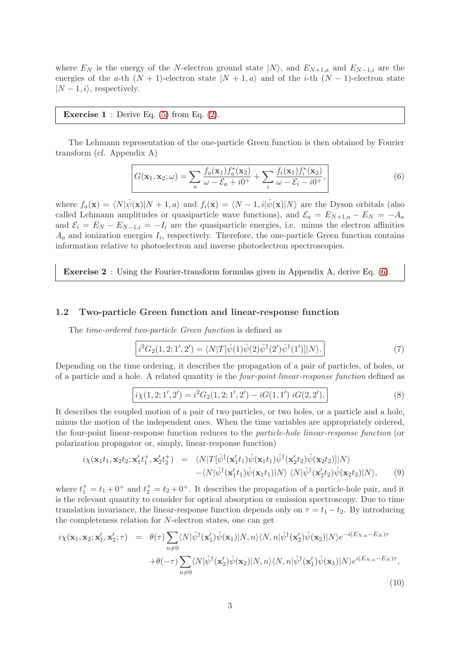where  $E_N$  is the energy of the N-electron ground state  $|N\rangle$ , and  $E_{N+1,a}$  and  $E_{N-1,i}$  are the energies of the a-th  $(N + 1)$ -electron state  $|N + 1, a\rangle$  and of the *i*-th  $(N - 1)$ -electron state  $|N - 1, i\rangle$ , respectively.

**Exercise 1** : Derive Eq.  $(5)$  from Eq.  $(2)$ .

The Lehmann representation of the one-particle Green function is then obtained by Fourier transform (cf. Appendix A)

<span id="page-2-1"></span>
$$
G(\mathbf{x}_1, \mathbf{x}_2; \omega) = \sum_a \frac{f_a(\mathbf{x}_1) f_a^*(\mathbf{x}_2)}{\omega - \mathcal{E}_a + i0^+} + \sum_i \frac{f_i(\mathbf{x}_1) f_i^*(\mathbf{x}_2)}{\omega - \mathcal{E}_i - i0^+},
$$
(6)

where  $f_a(\mathbf{x}) = \langle N|\hat{\psi}(\mathbf{x})|N + 1, a\rangle$  and  $f_i(\mathbf{x}) = \langle N-1, i|\hat{\psi}(\mathbf{x})|N\rangle$  are the Dyson orbitals (also called Lehmann amplitudes or quasiparticle wave functions), and  $\mathcal{E}_a = E_{N+1,a} - E_N = -A_a$ and  $\mathcal{E}_i = E_N - E_{N-1,i} = -I_i$  are the quasiparticle energies, i.e. minus the electron affinities  $A_a$  and ionization energies  $I_i$ , respectively. Therefore, the one-particle Green function contains information relative to photoelectron and inverse photoelectron spectroscopies.

Exercise 2 : Using the Fourier-transform formulas given in Appendix A, derive Eq. [\(6\)](#page-2-1).

#### <span id="page-2-0"></span>1.2 Two-particle Green function and linear-response function

The time-ordered two-particle Green function is defined as

$$
i^{2}G_{2}(1,2;1',2') = \langle N|T[\hat{\psi}(1)\hat{\psi}(2)\hat{\psi}^{\dagger}(2')\hat{\psi}^{\dagger}(1')]|N\rangle.
$$
 (7)

Depending on the time ordering, it describes the propagation of a pair of particles, of holes, or of a particle and a hole. A related quantity is the four-point linear-response function defined as

$$
i\chi(1,2;1',2') = i^2 G_2(1,2;1',2') - iG(1,1') iG(2,2').
$$
\n(8)

It describes the coupled motion of a pair of two particles, or two holes, or a particle and a hole, minus the motion of the independent ones. When the time variables are appropriately ordered, the four-point linear-response function reduces to the particle-hole linear-response function (or polarization propagator or, simply, linear-response function)

$$
i\chi(\mathbf{x}_1t_1,\mathbf{x}_2t_2;\mathbf{x}_1't_1^+,\mathbf{x}_2't_2^+) = \langle N|T[\hat{\psi}^\dagger(\mathbf{x}_1't_1)\hat{\psi}(\mathbf{x}_1t_1)\hat{\psi}^\dagger(\mathbf{x}_2't_2)\hat{\psi}(\mathbf{x}_2t_2)]|N\rangle -\langle N|\hat{\psi}^\dagger(\mathbf{x}_1't_1)\hat{\psi}(\mathbf{x}_1t_1)|N\rangle \langle N|\hat{\psi}^\dagger(\mathbf{x}_2't_2)\hat{\psi}(\mathbf{x}_2t_2)|N\rangle,
$$
 (9)

where  $t_1^+ = t_1 + 0^+$  and  $t_2^+ = t_2 + 0^+$ . It describes the propagation of a particle-hole pair, and it is the relevant quantity to consider for optical absorption or emission spectroscopy. Due to time translation invariance, the linear-response function depends only on  $\tau = t_1 - t_2$ . By introducing the completeness relation for N-electron states, one can get

<span id="page-2-2"></span>
$$
i\chi(\mathbf{x}_1, \mathbf{x}_2; \mathbf{x}'_1, \mathbf{x}'_2; \tau) = \theta(\tau) \sum_{n \neq 0} \langle N | \hat{\psi}^\dagger(\mathbf{x}'_1) \hat{\psi}(\mathbf{x}_1) | N, n \rangle \langle N, n | \hat{\psi}^\dagger(\mathbf{x}'_2) \hat{\psi}(\mathbf{x}_2) | N \rangle e^{-i(E_{N,n} - E_N)\tau} + \theta(-\tau) \sum_{n \neq 0} \langle N | \hat{\psi}^\dagger(\mathbf{x}'_2) \hat{\psi}(\mathbf{x}_2) | N, n \rangle \langle N, n | \hat{\psi}^\dagger(\mathbf{x}'_1) \hat{\psi}(\mathbf{x}_1) | N \rangle e^{i(E_{N,n} - E_N)\tau},
$$
\n(10)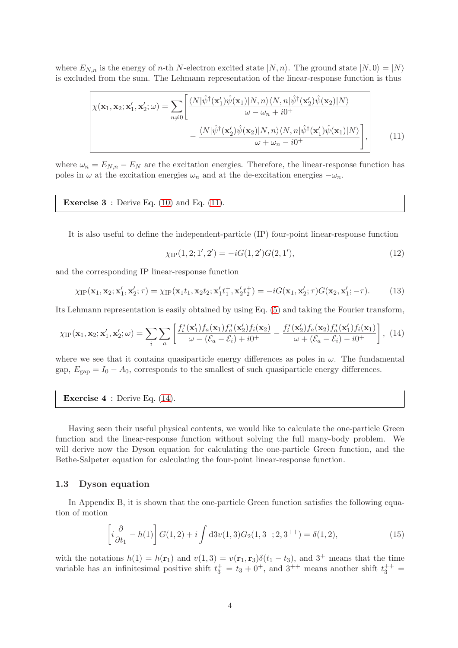where  $E_{N,n}$  is the energy of *n*-th N-electron excited state  $|N,n\rangle$ . The ground state  $|N,0\rangle = |N\rangle$ is excluded from the sum. The Lehmann representation of the linear-response function is thus

$$
\chi(\mathbf{x}_1, \mathbf{x}_2; \mathbf{x}'_1, \mathbf{x}'_2; \omega) = \sum_{n \neq 0} \left[ \frac{\langle N | \hat{\psi}^\dagger(\mathbf{x}'_1) \hat{\psi}(\mathbf{x}_1) | N, n \rangle \langle N, n | \hat{\psi}^\dagger(\mathbf{x}'_2) \hat{\psi}(\mathbf{x}_2) | N \rangle}{\omega - \omega_n + i0^+} - \frac{\langle N | \hat{\psi}^\dagger(\mathbf{x}'_2) \hat{\psi}(\mathbf{x}_2) | N, n \rangle \langle N, n | \hat{\psi}^\dagger(\mathbf{x}'_1) \hat{\psi}(\mathbf{x}_1) | N \rangle}{\omega + \omega_n - i0^+} \right],
$$
(11)

where  $\omega_n = E_{N,n} - E_N$  are the excitation energies. Therefore, the linear-response function has poles in  $\omega$  at the excitation energies  $\omega_n$  and at the de-excitation energies  $-\omega_n$ .

**Exercise 3**: Derive Eq. 
$$
(10)
$$
 and Eq.  $(11)$ .

It is also useful to define the independent-particle (IP) four-point linear-response function

<span id="page-3-3"></span><span id="page-3-1"></span>
$$
\chi_{IP}(1,2;1',2') = -iG(1,2')G(2,1'),\tag{12}
$$

and the corresponding IP linear-response function

$$
\chi_{\text{IP}}(\mathbf{x}_1, \mathbf{x}_2; \mathbf{x}_1', \mathbf{x}_2'; \tau) = \chi_{\text{IP}}(\mathbf{x}_1 t_1, \mathbf{x}_2 t_2; \mathbf{x}_1' t_1^+, \mathbf{x}_2' t_2^+) = -i G(\mathbf{x}_1, \mathbf{x}_2'; \tau) G(\mathbf{x}_2, \mathbf{x}_1'; -\tau). \tag{13}
$$

Its Lehmann representation is easily obtained by using Eq. [\(5\)](#page-1-3) and taking the Fourier transform,

<span id="page-3-2"></span>
$$
\chi_{IP}(\mathbf{x}_1, \mathbf{x}_2; \mathbf{x}_1', \mathbf{x}_2'; \omega) = \sum_i \sum_a \left[ \frac{f_i^*(\mathbf{x}_1') f_a(\mathbf{x}_1) f_a^*(\mathbf{x}_2') f_i(\mathbf{x}_2)}{\omega - (\mathcal{E}_a - \mathcal{E}_i) + i0^+} - \frac{f_i^*(\mathbf{x}_2') f_a(\mathbf{x}_2) f_a^*(\mathbf{x}_1') f_i(\mathbf{x}_1)}{\omega + (\mathcal{E}_a - \mathcal{E}_i) - i0^+} \right], \tag{14}
$$

where we see that it contains quasiparticle energy differences as poles in  $\omega$ . The fundamental gap,  $E_{\text{gap}} = I_0 - A_0$ , corresponds to the smallest of such quasiparticle energy differences.

Exercise 4 : Derive Eq. [\(14\)](#page-3-2).

Having seen their useful physical contents, we would like to calculate the one-particle Green function and the linear-response function without solving the full many-body problem. We will derive now the Dyson equation for calculating the one-particle Green function, and the Bethe-Salpeter equation for calculating the four-point linear-response function.

#### <span id="page-3-0"></span>1.3 Dyson equation

In Appendix B, it is shown that the one-particle Green function satisfies the following equation of motion

$$
\left[i\frac{\partial}{\partial t_1} - h(1)\right] G(1,2) + i \int d3v(1,3)G_2(1,3^+;2,3^{++}) = \delta(1,2),\tag{15}
$$

with the notations  $h(1) = h(\mathbf{r}_1)$  and  $v(1, 3) = v(\mathbf{r}_1, \mathbf{r}_3)\delta(t_1 - t_3)$ , and  $3^+$  means that the time variable has an infinitesimal positive shift  $t_3^+ = t_3 + 0^+$ , and  $3^{++}$  means another shift  $t_3^{++} =$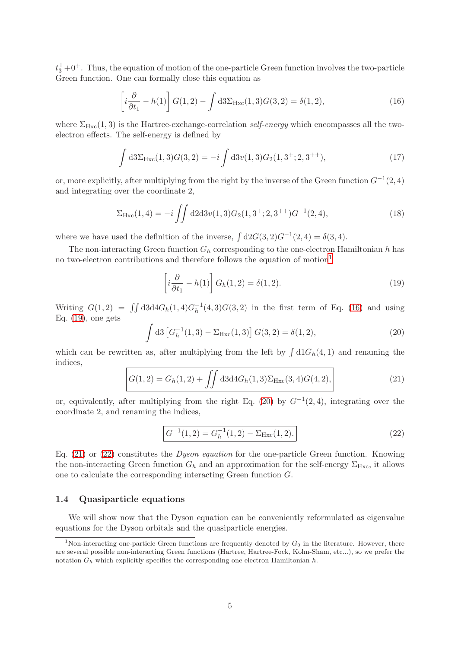$t_3^+$ +0<sup>+</sup>. Thus, the equation of motion of the one-particle Green function involves the two-particle Green function. One can formally close this equation as

<span id="page-4-2"></span>
$$
\left[i\frac{\partial}{\partial t_1} - h(1)\right] G(1,2) - \int d3\Sigma_{\text{Hxc}}(1,3)G(3,2) = \delta(1,2),\tag{16}
$$

where  $\Sigma_{Hxc}(1,3)$  is the Hartree-exchange-correlation self-energy which encompasses all the twoelectron effects. The self-energy is defined by

$$
\int d3\Sigma_{Hxc}(1,3)G(3,2) = -i \int d3v(1,3)G_2(1,3^+;2,3^{++}),
$$
\n(17)

or, more explicitly, after multiplying from the right by the inverse of the Green function  $G^{-1}(2,4)$ and integrating over the coordinate 2,

<span id="page-4-7"></span>
$$
\Sigma_{\text{Hxc}}(1,4) = -i \iint d2d3v(1,3)G_2(1,3^+;2,3^{++})G^{-1}(2,4), \tag{18}
$$

where we have used the definition of the inverse,  $\int d2G(3, 2)G^{-1}(2, 4) = \delta(3, 4)$ .

The non-interacting Green function  $G_h$  corresponding to the one-electron Hamiltonian h has no two-electron contributions and therefore follows the equation of motion<sup>[1](#page-4-1)</sup>

<span id="page-4-3"></span>
$$
\left[i\frac{\partial}{\partial t_1} - h(1)\right] G_h(1,2) = \delta(1,2). \tag{19}
$$

Writing  $G(1,2) = \iint d3d4G_h(1,4)G_h^{-1}$  $h^{-1}(4,3)G(3,2)$  in the first term of Eq. [\(16\)](#page-4-2) and using Eq.  $(19)$ , one gets

<span id="page-4-4"></span>
$$
\int d3 \left[ G_h^{-1}(1,3) - \Sigma_{Hxc}(1,3) \right] G(3,2) = \delta(1,2), \tag{20}
$$

which can be rewritten as, after multiplying from the left by  $\int d1G_h(4,1)$  and renaming the indices,

$$
G(1,2) = G_h(1,2) + \iint d3d4G_h(1,3)\Sigma_{Hxc}(3,4)G(4,2),
$$
\n(21)

or, equivalently, after multiplying from the right Eq. [\(20\)](#page-4-4) by  $G^{-1}(2,4)$ , integrating over the coordinate 2, and renaming the indices,

<span id="page-4-6"></span><span id="page-4-5"></span>
$$
G^{-1}(1,2) = G_h^{-1}(1,2) - \Sigma_{Hxc}(1,2). \tag{22}
$$

Eq.  $(21)$  or  $(22)$  constitutes the *Dyson equation* for the one-particle Green function. Knowing the non-interacting Green function  $G_h$  and an approximation for the self-energy  $\Sigma_{Hxc}$ , it allows one to calculate the corresponding interacting Green function G.

#### <span id="page-4-0"></span>1.4 Quasiparticle equations

We will show now that the Dyson equation can be conveniently reformulated as eigenvalue equations for the Dyson orbitals and the quasiparticle energies.

<span id="page-4-1"></span><sup>&</sup>lt;sup>1</sup>Non-interacting one-particle Green functions are frequently denoted by  $G_0$  in the literature. However, there are several possible non-interacting Green functions (Hartree, Hartree-Fock, Kohn-Sham, etc...), so we prefer the notation  $G_h$  which explicitly specifies the corresponding one-electron Hamiltonian  $h$ .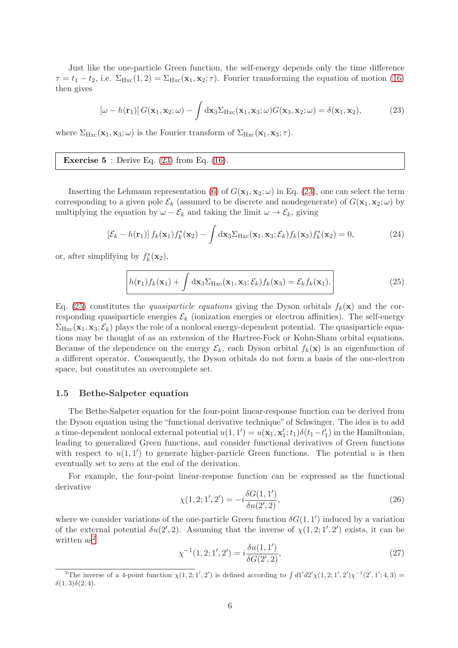Just like the one-particle Green function, the self-energy depends only the time difference  $\tau = t_1 - t_2$ , i.e.  $\Sigma_{Hxc}(1,2) = \Sigma_{Hxc}(\mathbf{x}_1,\mathbf{x}_2;\tau)$ . Fourier transforming the equation of motion [\(16\)](#page-4-2) then gives

<span id="page-5-1"></span>
$$
\left[\omega - h(\mathbf{r}_1)\right] G(\mathbf{x}_1, \mathbf{x}_2; \omega) - \int d\mathbf{x}_3 \Sigma_{Hxc}(\mathbf{x}_1, \mathbf{x}_3; \omega) G(\mathbf{x}_3, \mathbf{x}_2; \omega) = \delta(\mathbf{x}_1, \mathbf{x}_2),\tag{23}
$$

where  $\Sigma_{Hxc}(\mathbf{x}_1, \mathbf{x}_3; \omega)$  is the Fourier transform of  $\Sigma_{Hxc}(\mathbf{x}_1, \mathbf{x}_3; \tau)$ .

#### **Exercise 5** : Derive Eq.  $(23)$  from Eq.  $(16)$ .

Inserting the Lehmann representation [\(6\)](#page-2-1) of  $G(\mathbf{x}_1, \mathbf{x}_2; \omega)$  in Eq. [\(23\)](#page-5-1), one can select the term corresponding to a given pole  $\mathcal{E}_k$  (assumed to be discrete and nondegenerate) of  $G(\mathbf{x}_1, \mathbf{x}_2; \omega)$  by multiplying the equation by  $\omega - \mathcal{E}_k$  and taking the limit  $\omega \to \mathcal{E}_k$ , giving

$$
\left[\mathcal{E}_k - h(\mathbf{r}_1)\right] f_k(\mathbf{x}_1) f_k^*(\mathbf{x}_2) - \int \mathrm{d}\mathbf{x}_3 \Sigma_{\text{Hxc}}(\mathbf{x}_1, \mathbf{x}_3; \mathcal{E}_k) f_k(\mathbf{x}_3) f_k^*(\mathbf{x}_2) = 0,\tag{24}
$$

or, after simplifying by  $f_k^*(\mathbf{x}_2)$ ,

<span id="page-5-2"></span>
$$
h(\mathbf{r}_1)f_k(\mathbf{x}_1) + \int d\mathbf{x}_3 \Sigma_{Hxc}(\mathbf{x}_1, \mathbf{x}_3; \mathcal{E}_k) f_k(\mathbf{x}_3) = \mathcal{E}_k f_k(\mathbf{x}_1).
$$
 (25)

Eq. [\(25\)](#page-5-2) constitutes the *quasiparticle equations* giving the Dyson orbitals  $f_k(\mathbf{x})$  and the corresponding quasiparticle energies  $\mathcal{E}_k$  (ionization energies or electron affinities). The self-energy  $\Sigma_{Hxc}(\mathbf{x}_1, \mathbf{x}_3; \mathcal{E}_k)$  plays the role of a nonlocal energy-dependent potential. The quasiparticle equations may be thought of as an extension of the Hartree-Fock or Kohn-Sham orbital equations. Because of the dependence on the energy  $\mathcal{E}_k$ , each Dyson orbital  $f_k(\mathbf{x})$  is an eigenfunction of a different operator. Consequently, the Dyson orbitals do not form a basis of the one-electron space, but constitutes an overcomplete set.

#### <span id="page-5-0"></span>1.5 Bethe-Salpeter equation

The Bethe-Salpeter equation for the four-point linear-response function can be derived from the Dyson equation using the "functional derivative technique" of Schwinger. The idea is to add a time-dependent nonlocal external potential  $u(1, 1') = u(\mathbf{x}_1, \mathbf{x}'_1; t_1) \delta(t_1 - t'_1)$  in the Hamiltonian, leading to generalized Green functions, and consider functional derivatives of Green functions with respect to  $u(1,1')$  to generate higher-particle Green functions. The potential u is then eventually set to zero at the end of the derivation.

For example, the four-point linear-response function can be expressed as the functional derivative

$$
\chi(1,2;1',2') = -i\frac{\delta G(1,1')}{\delta u(2',2)},\tag{26}
$$

where we consider variations of the one-particle Green function  $\delta G(1,1')$  induced by a variation of the external potential  $\delta u(2', 2)$ . Assuming that the inverse of  $\chi(1, 2; 1', 2')$  exists, it can be written as<sup>[2](#page-5-3)</sup>

<span id="page-5-4"></span>
$$
\chi^{-1}(1,2;1',2') = i \frac{\delta u(1,1')}{\delta G(2',2)},\tag{27}
$$

<span id="page-5-3"></span><sup>&</sup>lt;sup>2</sup>The inverse of a 4-point function  $\chi(1,2;1',2')$  is defined according to  $\int d1'd2'\chi(1,2;1',2')\chi^{-1}(2',1';4,3)$  =  $\delta(1,3)\delta(2,4)$ .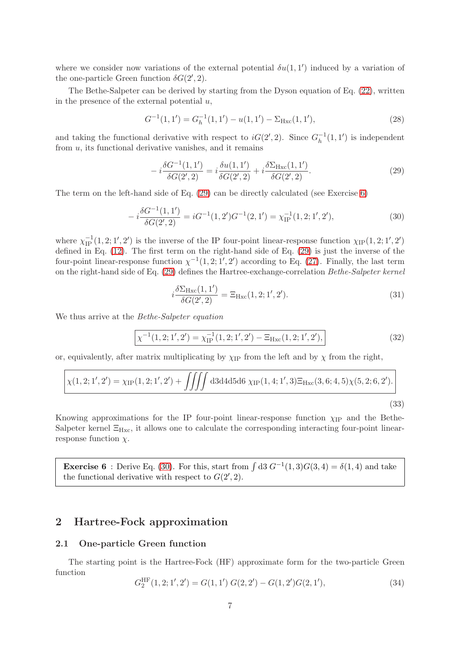where we consider now variations of the external potential  $\delta u(1,1')$  induced by a variation of the one-particle Green function  $\delta G(2', 2)$ .

The Bethe-Salpeter can be derived by starting from the Dyson equation of Eq. [\(22\)](#page-4-6), written in the presence of the external potential  $u$ ,

$$
G^{-1}(1,1') = G_h^{-1}(1,1') - u(1,1') - \Sigma_{Hxc}(1,1'),\tag{28}
$$

and taking the functional derivative with respect to  $iG(2', 2)$ . Since  $G_h^{-1}$  $\overline{h}^{-1}(1,1')$  is independent from  $u$ , its functional derivative vanishes, and it remains

<span id="page-6-2"></span>
$$
-i\frac{\delta G^{-1}(1,1')}{\delta G(2',2)} = i\frac{\delta u(1,1')}{\delta G(2',2)} + i\frac{\delta \Sigma_{\text{Hxc}}(1,1')}{\delta G(2',2)}.
$$
\n(29)

The term on the left-hand side of Eq. [\(29\)](#page-6-2) can be directly calculated (see Exercise [6\)](#page-6-3)

<span id="page-6-4"></span>
$$
-i\frac{\delta G^{-1}(1,1')}{\delta G(2',2)} = iG^{-1}(1,2')G^{-1}(2,1') = \chi_{\text{IP}}^{-1}(1,2;1',2'),\tag{30}
$$

where  $\chi_{IP}^{-1}(1, 2; 1', 2')$  is the inverse of the IP four-point linear-response function  $\chi_{IP}(1, 2; 1', 2')$ defined in Eq. [\(12\)](#page-3-3). The first term on the right-hand side of Eq. [\(29\)](#page-6-2) is just the inverse of the four-point linear-response function  $\chi^{-1}(1, 2; 1', 2')$  according to Eq. [\(27\)](#page-5-4). Finally, the last term on the right-hand side of Eq. [\(29\)](#page-6-2) defines the Hartree-exchange-correlation Bethe-Salpeter kernel

<span id="page-6-6"></span>
$$
i\frac{\delta \Sigma_{\rm Hxc}(1,1')}{\delta G(2',2)} = \Xi_{\rm Hxc}(1,2;1',2').
$$
\n(31)

We thus arrive at the *Bethe-Salpeter equation* 

$$
\boxed{\chi^{-1}(1,2;1',2') = \chi_{IP}^{-1}(1,2;1',2') - \Xi_{Hxc}(1,2;1',2'),}
$$
\n(32)

or, equivalently, after matrix multiplicating by  $\chi_{IP}$  from the left and by  $\chi$  from the right,

$$
\chi(1,2;1',2') = \chi_{IP}(1,2;1',2') + \iiint \mathrm{d}3\mathrm{d}4\mathrm{d}5\mathrm{d}6 \,\chi_{IP}(1,4;1',3)\Xi_{\text{Hxc}}(3,6;4,5)\chi(5,2;6,2').
$$
\n(33)

Knowing approximations for the IP four-point linear-response function  $\chi_{\rm IP}$  and the Bethe-Salpeter kernel  $\Xi_{Hxc}$ , it allows one to calculate the corresponding interacting four-point linearresponse function  $\chi$ .

<span id="page-6-3"></span>**Exercise 6**: Derive Eq. [\(30\)](#page-6-4). For this, start from  $\int d3 G^{-1}(1,3)G(3,4) = \delta(1,4)$  and take the functional derivative with respect to  $G(2', 2)$ .

### <span id="page-6-1"></span><span id="page-6-0"></span>2 Hartree-Fock approximation

#### 2.1 One-particle Green function

The starting point is the Hartree-Fock (HF) approximate form for the two-particle Green function  $\sim$ 

<span id="page-6-5"></span>
$$
G_2^{\text{HF}}(1,2;1',2') = G(1,1')\ G(2,2') - G(1,2')G(2,1'),\tag{34}
$$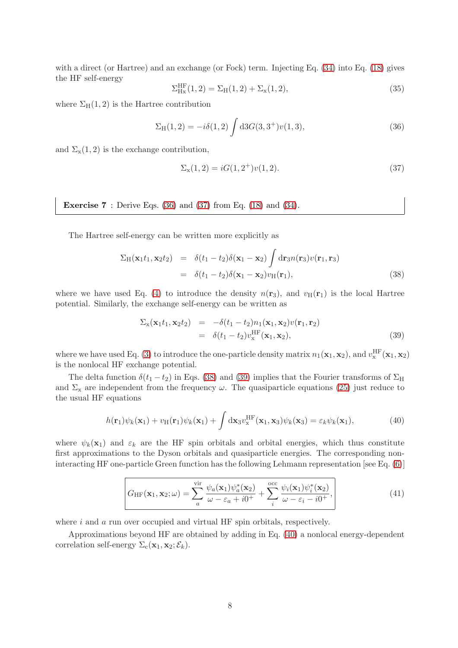with a direct (or Hartree) and an exchange (or Fock) term. Injecting Eq. [\(34\)](#page-6-5) into Eq. [\(18\)](#page-4-7) gives the HF self-energy

$$
\Sigma_{\text{Hx}}^{\text{HF}}(1,2) = \Sigma_{\text{H}}(1,2) + \Sigma_{\text{x}}(1,2),\tag{35}
$$

where  $\Sigma_{\rm H}(1,2)$  is the Hartree contribution

<span id="page-7-0"></span>
$$
\Sigma_{\rm H}(1,2) = -i\delta(1,2) \int d3G(3,3^{+})v(1,3), \tag{36}
$$

and  $\Sigma_{\rm x}(1,2)$  is the exchange contribution,

<span id="page-7-1"></span>
$$
\Sigma_{x}(1,2) = iG(1,2^{+})v(1,2). \tag{37}
$$

**Exercise 7** : Derive Eqs.  $(36)$  and  $(37)$  from Eq.  $(18)$  and  $(34)$ .

The Hartree self-energy can be written more explicitly as

<span id="page-7-2"></span>
$$
\Sigma_{H}(\mathbf{x}_{1}t_{1}, \mathbf{x}_{2}t_{2}) = \delta(t_{1} - t_{2})\delta(\mathbf{x}_{1} - \mathbf{x}_{2})\int d\mathbf{r}_{3}n(\mathbf{r}_{3})v(\mathbf{r}_{1}, \mathbf{r}_{3})
$$
  
=  $\delta(t_{1} - t_{2})\delta(\mathbf{x}_{1} - \mathbf{x}_{2})v_{H}(\mathbf{r}_{1}),$  (38)

where we have used Eq. [\(4\)](#page-1-4) to introduce the density  $n(\mathbf{r}_3)$ , and  $v_{\text{H}}(\mathbf{r}_1)$  is the local Hartree potential. Similarly, the exchange self-energy can be written as

<span id="page-7-3"></span>
$$
\Sigma_{\mathbf{x}}(\mathbf{x}_1 t_1, \mathbf{x}_2 t_2) = -\delta(t_1 - t_2) n_1(\mathbf{x}_1, \mathbf{x}_2) v(\mathbf{r}_1, \mathbf{r}_2)
$$
  
=  $\delta(t_1 - t_2) v_{\mathbf{x}}^{\text{HF}}(\mathbf{x}_1, \mathbf{x}_2),$  (39)

where we have used Eq. [\(3\)](#page-1-5) to introduce the one-particle density matrix  $n_1(\mathbf{x}_1, \mathbf{x}_2)$ , and  $v_x^{\text{HF}}(\mathbf{x}_1, \mathbf{x}_2)$ is the nonlocal HF exchange potential.

The delta function  $\delta(t_1 - t_2)$  in Eqs. [\(38\)](#page-7-2) and [\(39\)](#page-7-3) implies that the Fourier transforms of  $\Sigma_H$ and  $\Sigma_{\rm x}$  are independent from the frequency  $\omega$ . The quasiparticle equations [\(25\)](#page-5-2) just reduce to the usual HF equations

<span id="page-7-4"></span>
$$
h(\mathbf{r}_1)\psi_k(\mathbf{x}_1) + v_H(\mathbf{r}_1)\psi_k(\mathbf{x}_1) + \int \mathrm{d}\mathbf{x}_3 v_x^{\text{HF}}(\mathbf{x}_1, \mathbf{x}_3)\psi_k(\mathbf{x}_3) = \varepsilon_k \psi_k(\mathbf{x}_1),\tag{40}
$$

where  $\psi_k(\mathbf{x}_1)$  and  $\varepsilon_k$  are the HF spin orbitals and orbital energies, which thus constitute first approximations to the Dyson orbitals and quasiparticle energies. The corresponding noninteracting HF one-particle Green function has the following Lehmann representation [see Eq. [\(6\)](#page-2-1)]

$$
G_{\text{HF}}(\mathbf{x}_1, \mathbf{x}_2; \omega) = \sum_{a}^{\text{vir}} \frac{\psi_a(\mathbf{x}_1)\psi_a^*(\mathbf{x}_2)}{\omega - \varepsilon_a + i0^+} + \sum_{i}^{\text{occ}} \frac{\psi_i(\mathbf{x}_1)\psi_i^*(\mathbf{x}_2)}{\omega - \varepsilon_i - i0^+},
$$
(41)

where  $i$  and  $a$  run over occupied and virtual HF spin orbitals, respectively.

Approximations beyond HF are obtained by adding in Eq. [\(40\)](#page-7-4) a nonlocal energy-dependent correlation self-energy  $\Sigma_c(\mathbf{x}_1, \mathbf{x}_2; \mathcal{E}_k)$ .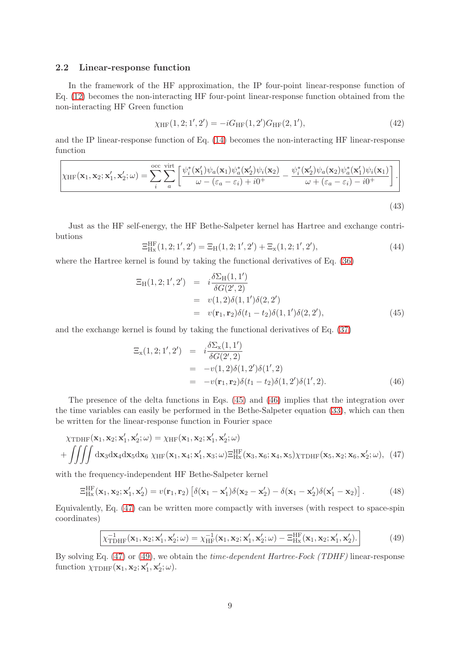#### <span id="page-8-0"></span>2.2 Linear-response function

In the framework of the HF approximation, the IP four-point linear-response function of Eq. [\(12\)](#page-3-3) becomes the non-interacting HF four-point linear-response function obtained from the non-interacting HF Green function

<span id="page-8-5"></span>
$$
\chi_{HF}(1,2;1',2') = -iG_{HF}(1,2')G_{HF}(2,1'),\tag{42}
$$

and the IP linear-response function of Eq. [\(14\)](#page-3-2) becomes the non-interacting HF linear-response function

$$
\chi_{\text{HF}}(\mathbf{x}_1, \mathbf{x}_2; \mathbf{x}'_1, \mathbf{x}'_2; \omega) = \sum_{i}^{\text{occ}} \sum_{a}^{\text{virt}} \left[ \frac{\psi_i^*(\mathbf{x}'_1)\psi_a(\mathbf{x}_1)\psi_a^*(\mathbf{x}'_2)\psi_i(\mathbf{x}_2)}{\omega - (\varepsilon_a - \varepsilon_i) + i0^+} - \frac{\psi_i^*(\mathbf{x}'_2)\psi_a(\mathbf{x}_2)\psi_a^*(\mathbf{x}'_1)\psi_i(\mathbf{x}_1)}{\omega + (\varepsilon_a - \varepsilon_i) - i0^+} \right].
$$
\n(43)

Just as the HF self-energy, the HF Bethe-Salpeter kernel has Hartree and exchange contributions

$$
\Xi_{\text{Hx}}^{\text{HF}}(1,2;1',2') = \Xi_{\text{H}}(1,2;1',2') + \Xi_{\text{x}}(1,2;1',2'),\tag{44}
$$

where the Hartree kernel is found by taking the functional derivatives of Eq. [\(36\)](#page-7-0)

<span id="page-8-1"></span>
$$
\begin{aligned} \Xi_{\rm H}(1,2;1',2') &= i \frac{\delta \Sigma_{\rm H}(1,1')}{\delta G(2',2)} \\ &= v(1,2)\delta(1,1')\delta(2,2') \\ &= v(\mathbf{r}_1,\mathbf{r}_2)\delta(t_1-t_2)\delta(1,1')\delta(2,2'), \end{aligned} \tag{45}
$$

and the exchange kernel is found by taking the functional derivatives of Eq. [\(37\)](#page-7-1)

<span id="page-8-2"></span>
$$
\begin{array}{rcl}\n\Xi_{\mathbf{x}}(1,2;1',2') & = & i \frac{\delta \Sigma_{\mathbf{x}}(1,1')}{\delta G(2',2)} \\
& = & -v(1,2)\delta(1,2')\delta(1',2) \\
& = & -v(\mathbf{r}_1, \mathbf{r}_2)\delta(t_1 - t_2)\delta(1,2')\delta(1',2).\n\end{array} \tag{46}
$$

The presence of the delta functions in Eqs. [\(45\)](#page-8-1) and [\(46\)](#page-8-2) implies that the integration over the time variables can easily be performed in the Bethe-Salpeter equation [\(33\)](#page-6-6), which can then be written for the linear-response function in Fourier space

<span id="page-8-3"></span>
$$
\chi_{\text{TDHF}}(\mathbf{x}_1, \mathbf{x}_2; \mathbf{x}_1', \mathbf{x}_2'; \omega) = \chi_{\text{HF}}(\mathbf{x}_1, \mathbf{x}_2; \mathbf{x}_1', \mathbf{x}_2'; \omega)
$$

$$
+ \iiint d\mathbf{x}_3 d\mathbf{x}_4 d\mathbf{x}_5 d\mathbf{x}_6 \chi_{\text{HF}}(\mathbf{x}_1, \mathbf{x}_4; \mathbf{x}_1', \mathbf{x}_3; \omega) \Xi_{\text{Hx}}^{\text{HF}}(\mathbf{x}_3, \mathbf{x}_6; \mathbf{x}_4, \mathbf{x}_5) \chi_{\text{TDHF}}(\mathbf{x}_5, \mathbf{x}_2; \mathbf{x}_6, \mathbf{x}_2'; \omega), \tag{47}
$$

with the frequency-independent HF Bethe-Salpeter kernel

<span id="page-8-6"></span>
$$
\Xi_{\text{Hx}}^{\text{HF}}(\mathbf{x}_1, \mathbf{x}_2; \mathbf{x}_1', \mathbf{x}_2') = v(\mathbf{r}_1, \mathbf{r}_2) \left[ \delta(\mathbf{x}_1 - \mathbf{x}_1') \delta(\mathbf{x}_2 - \mathbf{x}_2') - \delta(\mathbf{x}_1 - \mathbf{x}_2') \delta(\mathbf{x}_1' - \mathbf{x}_2) \right]. \tag{48}
$$

Equivalently, Eq. [\(47\)](#page-8-3) can be written more compactly with inverses (with respect to space-spin coordinates)

<span id="page-8-4"></span>
$$
\chi_{\text{TDHF}}^{-1}(\mathbf{x}_1, \mathbf{x}_2; \mathbf{x}_1', \mathbf{x}_2'; \omega) = \chi_{\text{HF}}^{-1}(\mathbf{x}_1, \mathbf{x}_2; \mathbf{x}_1', \mathbf{x}_2'; \omega) - \Xi_{\text{Hx}}^{\text{HF}}(\mathbf{x}_1, \mathbf{x}_2; \mathbf{x}_1', \mathbf{x}_2').
$$
\n(49)

By solving Eq. [\(47\)](#page-8-3) or [\(49\)](#page-8-4), we obtain the time-dependent Hartree-Fock (TDHF) linear-response function  $\chi_{\text{TDHF}}(\mathbf{x}_1, \mathbf{x}_2; \mathbf{x}'_1, \mathbf{x}'_2; \omega)$ .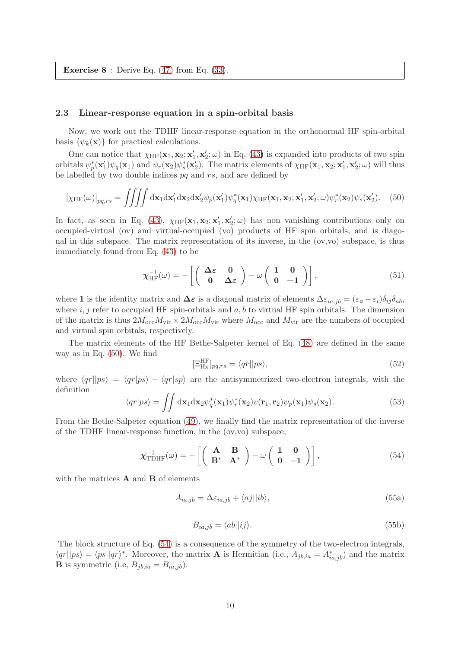**Exercise 8** : Derive Eq.  $(47)$  from Eq.  $(33)$ .

#### <span id="page-9-0"></span>2.3 Linear-response equation in a spin-orbital basis

Now, we work out the TDHF linear-response equation in the orthonormal HF spin-orbital basis  $\{\psi_k(\mathbf{x})\}$  for practical calculations.

One can notice that  $\chi_{HF}(\mathbf{x}_1, \mathbf{x}_2; \mathbf{x}'_1, \mathbf{x}'_2; \omega)$  in Eq. [\(43\)](#page-8-5) is expanded into products of two spin orbitals  $\psi_p^*(\mathbf{x}_1')\psi_q(\mathbf{x}_1)$  and  $\psi_r(\mathbf{x}_2)\psi_s^*(\mathbf{x}_2')$ . The matrix elements of  $\chi_{\text{HF}}(\mathbf{x}_1, \mathbf{x}_2; \mathbf{x}_1', \mathbf{x}_2'; \omega)$  will thus be labelled by two double indices  $pq$  and  $rs$ , and are defined by

<span id="page-9-1"></span>
$$
[\chi_{\text{HF}}(\omega)]_{pq,rs} = \iiint dx_1 dx_1' dx_2 dx_2' \psi_p(\mathbf{x}_1') \psi_q^*(\mathbf{x}_1) \chi_{\text{HF}}(\mathbf{x}_1, \mathbf{x}_2; \mathbf{x}_1', \mathbf{x}_2'; \omega) \psi_r^*(\mathbf{x}_2) \psi_s(\mathbf{x}_2').
$$
 (50)

In fact, as seen in Eq. [\(43\)](#page-8-5),  $\chi_{HF}(\mathbf{x}_1, \mathbf{x}_2; \mathbf{x}'_1, \mathbf{x}'_2; \omega)$  has non vanishing contributions only on occupied-virtual (ov) and virtual-occupied (vo) products of HF spin orbitals, and is diagonal in this subspace. The matrix representation of its inverse, in the (ov,vo) subspace, is thus immediately found from Eq. [\(43\)](#page-8-5) to be

$$
\chi_{\text{HF}}^{-1}(\omega) = -\left[ \left( \begin{array}{cc} \Delta \varepsilon & 0 \\ 0 & \Delta \varepsilon \end{array} \right) - \omega \left( \begin{array}{cc} 1 & 0 \\ 0 & -1 \end{array} \right) \right],\tag{51}
$$

where 1 is the identity matrix and  $\Delta \varepsilon$  is a diagonal matrix of elements  $\Delta \varepsilon_{ia,jb} = (\varepsilon_a - \varepsilon_i)\delta_{ij}\delta_{ab}$ , where  $i, j$  refer to occupied HF spin-orbitals and  $a, b$  to virtual HF spin orbitals. The dimension of the matrix is thus  $2M_{\text{occ}}M_{\text{vir}} \times 2M_{\text{occ}}M_{\text{vir}}$  where  $M_{\text{occ}}$  and  $M_{\text{vir}}$  are the numbers of occupied and virtual spin orbitals, respectively.

The matrix elements of the HF Bethe-Salpeter kernel of Eq. [\(48\)](#page-8-6) are defined in the same way as in Eq. [\(50\)](#page-9-1). We find

$$
[\Xi_{\text{Hx}}^{\text{HF}}]_{pq,rs} = \langle qr || ps \rangle,
$$
\n(52)

where  $\langle qr||ps\rangle = \langle qr|ps\rangle - \langle qr|sp\rangle$  are the antisymmetrized two-electron integrals, with the definition

$$
\langle qr|ps \rangle = \iint d\mathbf{x}_1 d\mathbf{x}_2 \psi_q^*(\mathbf{x}_1) \psi_r^*(\mathbf{x}_2) v(\mathbf{r}_1, \mathbf{r}_2) \psi_p(\mathbf{x}_1) \psi_s(\mathbf{x}_2). \tag{53}
$$

From the Bethe-Salpeter equation [\(49\)](#page-8-4), we finally find the matrix representation of the inverse of the TDHF linear-response function, in the (ov,vo) subspace,

<span id="page-9-2"></span>
$$
\chi_{\text{TDHF}}^{-1}(\omega) = -\left[ \left( \begin{array}{cc} \mathbf{A} & \mathbf{B} \\ \mathbf{B}^* & \mathbf{A}^* \end{array} \right) - \omega \left( \begin{array}{cc} \mathbf{1} & \mathbf{0} \\ \mathbf{0} & -\mathbf{1} \end{array} \right) \right],\tag{54}
$$

with the matrices  $\bf{A}$  and  $\bf{B}$  of elements

<span id="page-9-3"></span>
$$
A_{ia,jb} = \Delta \varepsilon_{ia,jb} + \langle aj||ib \rangle,
$$
\n(55a)

$$
B_{ia,jb} = \langle ab||ij\rangle.
$$
 (55b)

The block structure of Eq. [\(54\)](#page-9-2) is a consequence of the symmetry of the two-electron integrals,  $\langle qr || ps \rangle = \langle ps || qr \rangle^*$ . Moreover, the matrix **A** is Hermitian (i.e.,  $A_{jb,ia} = A_{ia,jb}^*$ ) and the matrix **B** is symmetric (i.e,  $B_{jb,ia} = B_{ia,jb}$ ).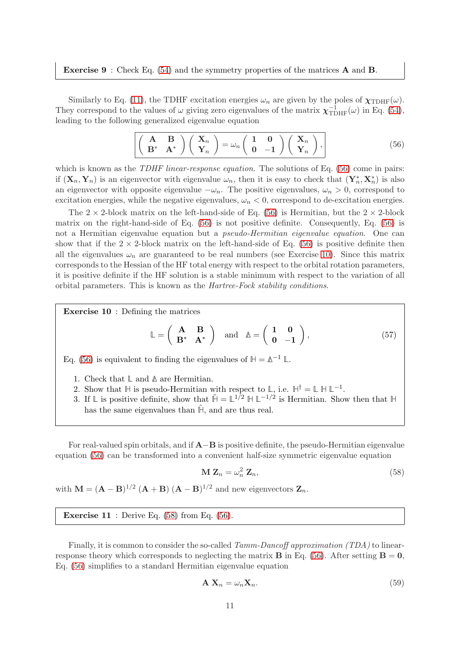#### Exercise 9 : Check Eq. [\(54\)](#page-9-2) and the symmetry properties of the matrices A and B.

Similarly to Eq. [\(11\)](#page-3-1), the TDHF excitation energies  $\omega_n$  are given by the poles of  $\chi_{\text{TDHF}}(\omega)$ . They correspond to the values of  $\omega$  giving zero eigenvalues of the matrix  $\chi_{\text{TDHF}}^{-1}(\omega)$  in Eq. [\(54\)](#page-9-2), leading to the following generalized eigenvalue equation

<span id="page-10-0"></span>
$$
\left[ \left( \begin{array}{cc} \mathbf{A} & \mathbf{B} \\ \mathbf{B}^* & \mathbf{A}^* \end{array} \right) \left( \begin{array}{c} \mathbf{X}_n \\ \mathbf{Y}_n \end{array} \right) = \omega_n \left( \begin{array}{cc} 1 & 0 \\ 0 & -1 \end{array} \right) \left( \begin{array}{c} \mathbf{X}_n \\ \mathbf{Y}_n \end{array} \right), \tag{56}
$$

which is known as the *TDHF linear-response equation*. The solutions of Eq. [\(56\)](#page-10-0) come in pairs: if  $(X_n, Y_n)$  is an eigenvector with eigenvalue  $\omega_n$ , then it is easy to check that  $(Y_n^*, X_n^*)$  is also an eigenvector with opposite eigenvalue  $-\omega_n$ . The positive eigenvalues,  $\omega_n > 0$ , correspond to excitation energies, while the negative eigenvalues,  $\omega_n < 0$ , correspond to de-excitation energies.

The  $2 \times 2$ -block matrix on the left-hand-side of Eq. [\(56\)](#page-10-0) is Hermitian, but the  $2 \times 2$ -block matrix on the right-hand-side of Eq. [\(56\)](#page-10-0) is not positive definite. Consequently, Eq. [\(56\)](#page-10-0) is not a Hermitian eigenvalue equation but a pseudo-Hermitian eigenvalue equation. One can show that if the  $2 \times 2$ -block matrix on the left-hand-side of Eq. [\(56\)](#page-10-0) is positive definite then all the eigenvalues  $\omega_n$  are guaranteed to be real numbers (see Exercise [10\)](#page-10-1). Since this matrix corresponds to the Hessian of the HF total energy with respect to the orbital rotation parameters, it is positive definite if the HF solution is a stable minimum with respect to the variation of all orbital parameters. This is known as the Hartree-Fock stability conditions.

Exercise 10 : Defining the matrices

$$
\mathbb{L} = \left( \begin{array}{cc} \mathbf{A} & \mathbf{B} \\ \mathbf{B}^* & \mathbf{A}^* \end{array} \right) \quad \text{and} \quad \mathbb{A} = \left( \begin{array}{cc} 1 & 0 \\ 0 & -1 \end{array} \right), \tag{57}
$$

Eq. [\(56\)](#page-10-0) is equivalent to finding the eigenvalues of  $H = \mathbb{\Delta}^{-1} \mathbb{L}$ .

- 1. Check that **L** and **∆** are Hermitian.
- <span id="page-10-1"></span>2. Show that  $\mathbb{H}$  is pseudo-Hermitian with respect to  $\mathbb{L}$ , i.e.  $\mathbb{H}^{\dagger} = \mathbb{L} \mathbb{H} \mathbb{L}^{-1}$ .
- 3. If  $\mathbb{L}$  is positive definite, show that  $\tilde{\mathbb{H}} = \mathbb{L}^{1/2} \mathbb{H} \mathbb{L}^{-1/2}$  is Hermitian. Show then that  $\mathbb{H}$ has the same eigenvalues than  $\tilde{H}$ , and are thus real.

For real-valued spin orbitals, and if  $A-B$  is positive definite, the pseudo-Hermitian eigenvalue equation [\(56\)](#page-10-0) can be transformed into a convenient half-size symmetric eigenvalue equation

<span id="page-10-2"></span>
$$
\mathbf{M} \mathbf{Z}_n = \omega_n^2 \mathbf{Z}_n,\tag{58}
$$

with  $\mathbf{M} = (\mathbf{A} - \mathbf{B})^{1/2} (\mathbf{A} + \mathbf{B}) (\mathbf{A} - \mathbf{B})^{1/2}$  and new eigenvectors  $\mathbf{Z}_n$ .

**Exercise 11** : Derive Eq.  $(58)$  from Eq.  $(56)$ .

Finally, it is common to consider the so-called Tamm-Dancoff approximation (TDA) to linearresponse theory which corresponds to neglecting the matrix **B** in Eq. [\(56\)](#page-10-0). After setting  $\mathbf{B} = \mathbf{0}$ , Eq. [\(56\)](#page-10-0) simplifies to a standard Hermitian eigenvalue equation

<span id="page-10-3"></span>
$$
\mathbf{A} \mathbf{X}_n = \omega_n \mathbf{X}_n. \tag{59}
$$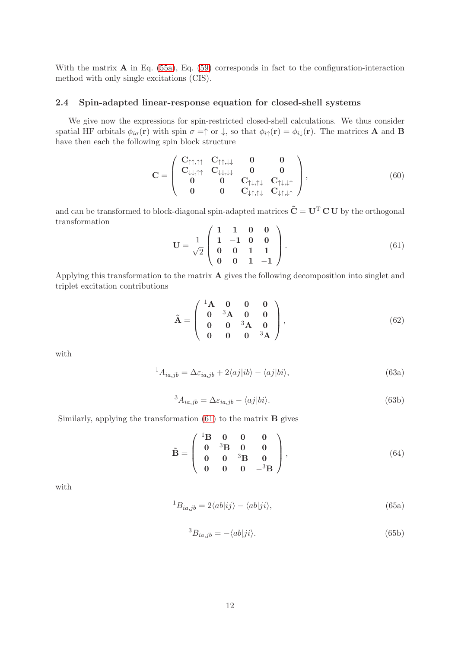With the matrix **A** in Eq. [\(55a\)](#page-9-3), Eq. [\(59\)](#page-10-3) corresponds in fact to the configuration-interaction method with only single excitations (CIS).

#### <span id="page-11-0"></span>2.4 Spin-adapted linear-response equation for closed-shell systems

We give now the expressions for spin-restricted closed-shell calculations. We thus consider spatial HF orbitals  $\phi_{i\sigma}(\mathbf{r})$  with spin  $\sigma = \uparrow$  or  $\downarrow$ , so that  $\phi_{i\uparrow}(\mathbf{r}) = \phi_{i\downarrow}(\mathbf{r})$ . The matrices **A** and **B** have then each the following spin block structure

<span id="page-11-2"></span>
$$
\mathbf{C} = \left( \begin{array}{cccc} \mathbf{C}_{\uparrow\uparrow,\uparrow\uparrow} & \mathbf{C}_{\uparrow\uparrow,\downarrow\downarrow} & \mathbf{0} & \mathbf{0} \\ \mathbf{C}_{\downarrow\downarrow,\uparrow\uparrow} & \mathbf{C}_{\downarrow\downarrow,\downarrow\downarrow} & \mathbf{0} & \mathbf{0} \\ \mathbf{0} & \mathbf{0} & \mathbf{C}_{\uparrow\downarrow,\uparrow\downarrow} & \mathbf{C}_{\uparrow\downarrow,\downarrow\uparrow} \\ \mathbf{0} & \mathbf{0} & \mathbf{C}_{\downarrow\uparrow,\uparrow\downarrow} & \mathbf{C}_{\downarrow\uparrow,\downarrow\uparrow} \end{array} \right), \tag{60}
$$

and can be transformed to block-diagonal spin-adapted matrices  $\tilde{C} = U^T C U$  by the orthogonal transformation

<span id="page-11-1"></span>
$$
\mathbf{U} = \frac{1}{\sqrt{2}} \begin{pmatrix} 1 & 1 & 0 & 0 \\ 1 & -1 & 0 & 0 \\ 0 & 0 & 1 & 1 \\ 0 & 0 & 1 & -1 \end{pmatrix} . \tag{61}
$$

Applying this transformation to the matrix A gives the following decomposition into singlet and triplet excitation contributions

<span id="page-11-3"></span>
$$
\tilde{\mathbf{A}} = \begin{pmatrix} 1\mathbf{A} & \mathbf{0} & \mathbf{0} & \mathbf{0} \\ \mathbf{0} & {}^{3}\mathbf{A} & \mathbf{0} & \mathbf{0} \\ \mathbf{0} & \mathbf{0} & {}^{3}\mathbf{A} & \mathbf{0} \\ \mathbf{0} & \mathbf{0} & \mathbf{0} & {}^{3}\mathbf{A} \end{pmatrix},
$$
(62)

with

$$
{}^{1}A_{ia,jb} = \Delta\varepsilon_{ia,jb} + 2\langle aj|ib\rangle - \langle aj|bi\rangle,
$$
\n(63a)

$$
{}^{3}A_{ia,jb} = \Delta\varepsilon_{ia,jb} - \langle aj|bi\rangle. \tag{63b}
$$

Similarly, applying the transformation  $(61)$  to the matrix **B** gives

<span id="page-11-4"></span>
$$
\tilde{\mathbf{B}} = \left( \begin{array}{cccc} {}^{1}\mathbf{B} & \mathbf{0} & \mathbf{0} & \mathbf{0} \\ \mathbf{0} & {}^{3}\mathbf{B} & \mathbf{0} & \mathbf{0} \\ \mathbf{0} & \mathbf{0} & {}^{3}\mathbf{B} & \mathbf{0} \\ \mathbf{0} & \mathbf{0} & \mathbf{0} & {}^{-3}\mathbf{B} \end{array} \right), \tag{64}
$$

with

$$
{}^{1}B_{ia,jb} = 2\langle ab|ij\rangle - \langle ab|ji\rangle,
$$
\n(65a)

$$
{}^{3}B_{ia,jb} = -\langle ab|ji\rangle. \tag{65b}
$$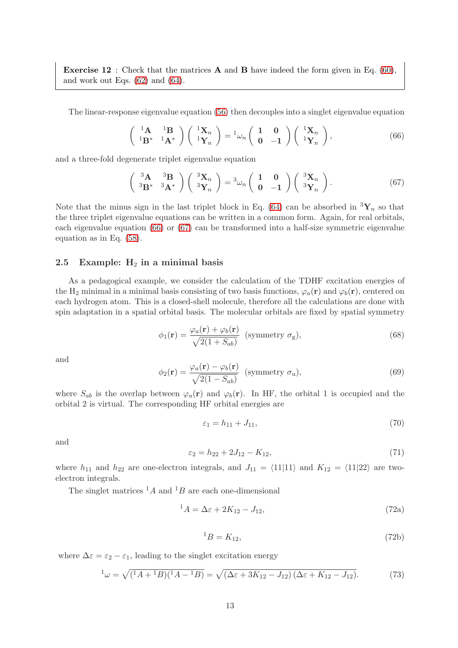**Exercise 12** : Check that the matrices **A** and **B** have indeed the form given in Eq. [\(60\)](#page-11-2), and work out Eqs. [\(62\)](#page-11-3) and [\(64\)](#page-11-4).

The linear-response eigenvalue equation [\(56\)](#page-10-0) then decouples into a singlet eigenvalue equation

<span id="page-12-1"></span>
$$
\begin{pmatrix} 1_{\mathbf{A}} & 1_{\mathbf{B}} \\ 1_{\mathbf{B}^*} & 1_{\mathbf{A}^*} \end{pmatrix} \begin{pmatrix} 1_{\mathbf{X}_n} \\ 1_{\mathbf{Y}_n} \end{pmatrix} = 1_{\omega_n} \begin{pmatrix} 1 & 0 \\ 0 & -1 \end{pmatrix} \begin{pmatrix} 1_{\mathbf{X}_n} \\ 1_{\mathbf{Y}_n} \end{pmatrix},
$$
(66)

and a three-fold degenerate triplet eigenvalue equation

<span id="page-12-2"></span>
$$
\begin{pmatrix} 3\mathbf{A} & 3\mathbf{B} \\ 3\mathbf{B}^* & 3\mathbf{A}^* \end{pmatrix} \begin{pmatrix} 3\mathbf{X}_n \\ 3\mathbf{Y}_n \end{pmatrix} = 3\omega_n \begin{pmatrix} 1 & 0 \\ 0 & -1 \end{pmatrix} \begin{pmatrix} 3\mathbf{X}_n \\ 3\mathbf{Y}_n \end{pmatrix} . \tag{67}
$$

Note that the minus sign in the last triplet block in Eq. [\(64\)](#page-11-4) can be absorbed in  ${}^{3}\mathbf{Y}_{n}$  so that the three triplet eigenvalue equations can be written in a common form. Again, for real orbitals, each eigenvalue equation [\(66\)](#page-12-1) or [\(67\)](#page-12-2) can be transformed into a half-size symmetric eigenvalue equation as in Eq. [\(58\)](#page-10-2).

#### <span id="page-12-0"></span>2.5 Example:  $H_2$  in a minimal basis

As a pedagogical example, we consider the calculation of the TDHF excitation energies of the H<sub>2</sub> minimal in a minimal basis consisting of two basis functions,  $\varphi_a(\mathbf{r})$  and  $\varphi_b(\mathbf{r})$ , centered on each hydrogen atom. This is a closed-shell molecule, therefore all the calculations are done with spin adaptation in a spatial orbital basis. The molecular orbitals are fixed by spatial symmetry

$$
\phi_1(\mathbf{r}) = \frac{\varphi_a(\mathbf{r}) + \varphi_b(\mathbf{r})}{\sqrt{2(1 + S_{ab})}} \text{ (symmetry } \sigma_g), \tag{68}
$$

and

$$
\phi_2(\mathbf{r}) = \frac{\varphi_a(\mathbf{r}) - \varphi_b(\mathbf{r})}{\sqrt{2(1 - S_{ab})}} \text{ (symmetry } \sigma_u), \tag{69}
$$

where  $S_{ab}$  is the overlap between  $\varphi_a(\mathbf{r})$  and  $\varphi_b(\mathbf{r})$ . In HF, the orbital 1 is occupied and the orbital 2 is virtual. The corresponding HF orbital energies are

$$
\varepsilon_1 = h_{11} + J_{11},\tag{70}
$$

and

$$
\varepsilon_2 = h_{22} + 2J_{12} - K_{12},\tag{71}
$$

where  $h_{11}$  and  $h_{22}$  are one-electron integrals, and  $J_{11} = \langle 11|11 \rangle$  and  $K_{12} = \langle 11|22 \rangle$  are twoelectron integrals.

The singlet matrices  $^{1}A$  and  $^{1}B$  are each one-dimensional

$$
{}^{1}A = \Delta \varepsilon + 2K_{12} - J_{12},\tag{72a}
$$

$$
{}^{1}B = K_{12},\tag{72b}
$$

where  $\Delta \varepsilon = \varepsilon_2 - \varepsilon_1$ , leading to the singlet excitation energy

$$
{}^{1}\omega = \sqrt{({}^{1}A + {}^{1}B)({}^{1}A - {}^{1}B)} = \sqrt{(\Delta\varepsilon + 3K_{12} - J_{12})(\Delta\varepsilon + K_{12} - J_{12})}.
$$
 (73)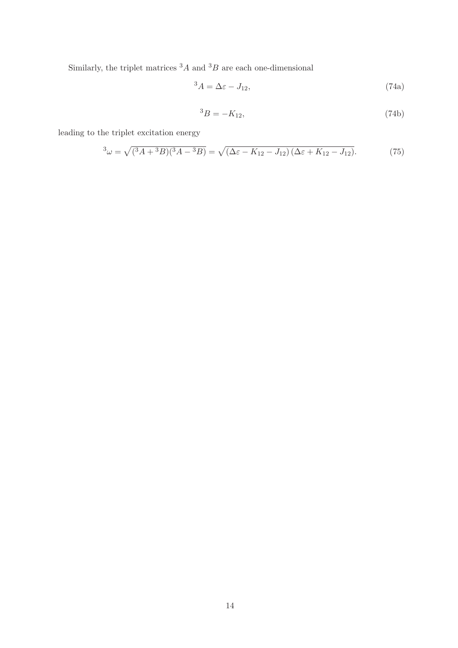Similarly, the triplet matrices  ${}^{3}A$  and  ${}^{3}B$  are each one-dimensional

$$
{}^{3}A = \Delta \varepsilon - J_{12},\tag{74a}
$$

$$
{}^{3}B = -K_{12},\tag{74b}
$$

leading to the triplet excitation energy

$$
{}^{3}\omega = \sqrt{({}^{3}A + {}^{3}B)({}^{3}A - {}^{3}B)} = \sqrt{(\Delta\varepsilon - K_{12} - J_{12})(\Delta\varepsilon + K_{12} - J_{12})}.
$$
 (75)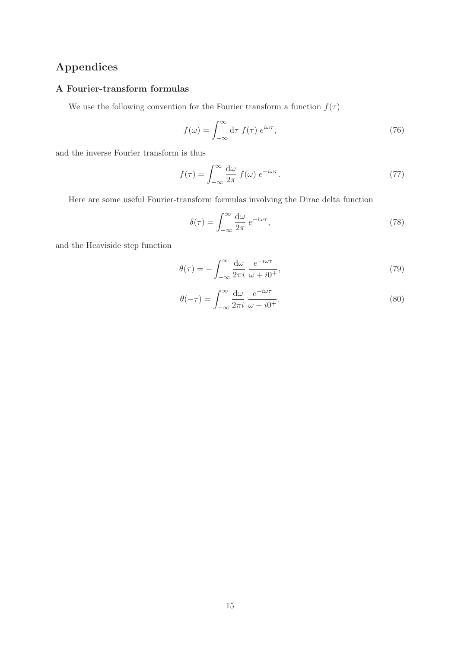# <span id="page-14-0"></span>Appendices

## <span id="page-14-1"></span>A Fourier-transform formulas

We use the following convention for the Fourier transform a function  $f(\tau)$ 

$$
f(\omega) = \int_{-\infty}^{\infty} d\tau \ f(\tau) \ e^{i\omega \tau}, \tag{76}
$$

and the inverse Fourier transform is thus

$$
f(\tau) = \int_{-\infty}^{\infty} \frac{d\omega}{2\pi} f(\omega) e^{-i\omega\tau}.
$$
 (77)

Here are some useful Fourier-transform formulas involving the Dirac delta function

$$
\delta(\tau) = \int_{-\infty}^{\infty} \frac{d\omega}{2\pi} e^{-i\omega\tau},\tag{78}
$$

and the Heaviside step function

$$
\theta(\tau) = -\int_{-\infty}^{\infty} \frac{d\omega}{2\pi i} \frac{e^{-i\omega\tau}}{\omega + i0^{+}},\tag{79}
$$

$$
\theta(-\tau) = \int_{-\infty}^{\infty} \frac{d\omega}{2\pi i} \frac{e^{-i\omega\tau}}{\omega - i0^{+}}.
$$
\n(80)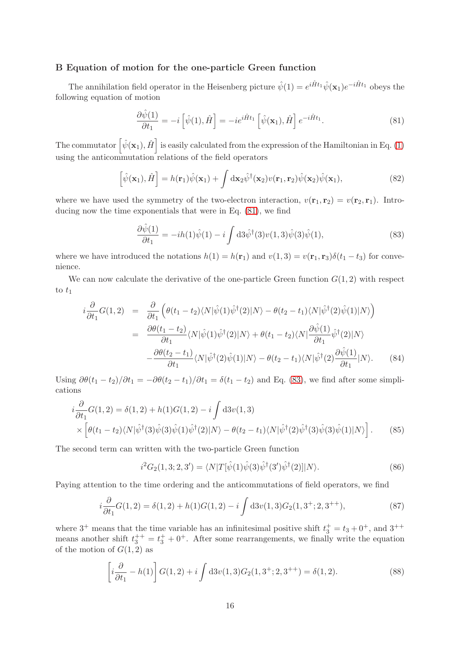#### <span id="page-15-0"></span>B Equation of motion for the one-particle Green function

The annihilation field operator in the Heisenberg picture  $\hat{\psi}(1) = e^{i\hat{H}t_1}\hat{\psi}(\mathbf{x}_1)e^{-i\hat{H}t_1}$  obeys the following equation of motion

<span id="page-15-1"></span>
$$
\frac{\partial \hat{\psi}(1)}{\partial t_1} = -i \left[ \hat{\psi}(1), \hat{H} \right] = -ie^{i\hat{H}t_1} \left[ \hat{\psi}(\mathbf{x}_1), \hat{H} \right] e^{-i\hat{H}t_1}.
$$
\n(81)

The commutator  $\left[ \hat{\psi}(\mathbf{x}_1), \hat{H} \right]$  is easily calculated from the expression of the Hamiltonian in Eq. [\(1\)](#page-1-6) using the anticommutation relations of the field operators

$$
\left[\hat{\psi}(\mathbf{x}_1),\hat{H}\right] = h(\mathbf{r}_1)\hat{\psi}(\mathbf{x}_1) + \int d\mathbf{x}_2 \hat{\psi}^\dagger(\mathbf{x}_2)v(\mathbf{r}_1,\mathbf{r}_2)\hat{\psi}(\mathbf{x}_2)\hat{\psi}(\mathbf{x}_1),\tag{82}
$$

where we have used the symmetry of the two-electron interaction,  $v(\mathbf{r}_1, \mathbf{r}_2) = v(\mathbf{r}_2, \mathbf{r}_1)$ . Introducing now the time exponentials that were in Eq. [\(81\)](#page-15-1), we find

<span id="page-15-2"></span>
$$
\frac{\partial \hat{\psi}(1)}{\partial t_1} = -ih(1)\hat{\psi}(1) - i \int d3\hat{\psi}^{\dagger}(3)v(1,3)\hat{\psi}(3)\hat{\psi}(1),\tag{83}
$$

where we have introduced the notations  $h(1) = h(\mathbf{r}_1)$  and  $v(1, 3) = v(\mathbf{r}_1, \mathbf{r}_3)\delta(t_1 - t_3)$  for convenience.

We can now calculate the derivative of the one-particle Green function  $G(1, 2)$  with respect to  $t_1$ 

<span id="page-15-3"></span>
$$
i\frac{\partial}{\partial t_1}G(1,2) = \frac{\partial}{\partial t_1} \left( \theta(t_1 - t_2) \langle N | \hat{\psi}(1) \hat{\psi}^{\dagger}(2) | N \rangle - \theta(t_2 - t_1) \langle N | \hat{\psi}^{\dagger}(2) \hat{\psi}(1) | N \rangle \right)
$$
  

$$
= \frac{\partial \theta(t_1 - t_2)}{\partial t_1} \langle N | \hat{\psi}(1) \hat{\psi}^{\dagger}(2) | N \rangle + \theta(t_1 - t_2) \langle N | \frac{\partial \hat{\psi}(1)}{\partial t_1} \hat{\psi}^{\dagger}(2) | N \rangle
$$
  

$$
- \frac{\partial \theta(t_2 - t_1)}{\partial t_1} \langle N | \hat{\psi}^{\dagger}(2) \hat{\psi}(1) | N \rangle - \theta(t_2 - t_1) \langle N | \hat{\psi}^{\dagger}(2) \frac{\partial \hat{\psi}(1)}{\partial t_1} | N \rangle.
$$
 (84)

Using  $\partial \theta(t_1 - t_2)/\partial t_1 = -\partial \theta(t_2 - t_1)/\partial t_1 = \delta(t_1 - t_2)$  and Eq. [\(83\)](#page-15-2), we find after some simplications

$$
i\frac{\partial}{\partial t_1}G(1,2) = \delta(1,2) + h(1)G(1,2) - i \int d3v(1,3) \times \left[ \theta(t_1 - t_2) \langle N | \hat{\psi}^{\dagger}(3) \hat{\psi}(3) \hat{\psi}(1) \hat{\psi}^{\dagger}(2) | N \rangle - \theta(t_2 - t_1) \langle N | \hat{\psi}^{\dagger}(2) \hat{\psi}^{\dagger}(3) \hat{\psi}(3) \hat{\psi}(1) | N \rangle \right].
$$
 (85)

The second term can written with the two-particle Green function

$$
i^2 G_2(1,3;2,3') = \langle N|T[\hat{\psi}(1)\hat{\psi}(3)\hat{\psi}^{\dagger}(3')\hat{\psi}^{\dagger}(2)]|N\rangle.
$$
 (86)

Paying attention to the time ordering and the anticommutations of field operators, we find

$$
i\frac{\partial}{\partial t_1}G(1,2) = \delta(1,2) + h(1)G(1,2) - i\int d3v(1,3)G_2(1,3^+;2,3^{++}),\tag{87}
$$

where  $3^+$  means that the time variable has an infinitesimal positive shift  $t_3^+ = t_3 + 0^+$ , and  $3^{++}$ means another shift  $t_3^{++} = t_3^+ + 0^+$ . After some rearrangements, we finally write the equation of the motion of  $G(1, 2)$  as

<span id="page-15-4"></span>
$$
\left[i\frac{\partial}{\partial t_1} - h(1)\right] G(1,2) + i \int d3v(1,3)G_2(1,3^+;2,3^{++}) = \delta(1,2). \tag{88}
$$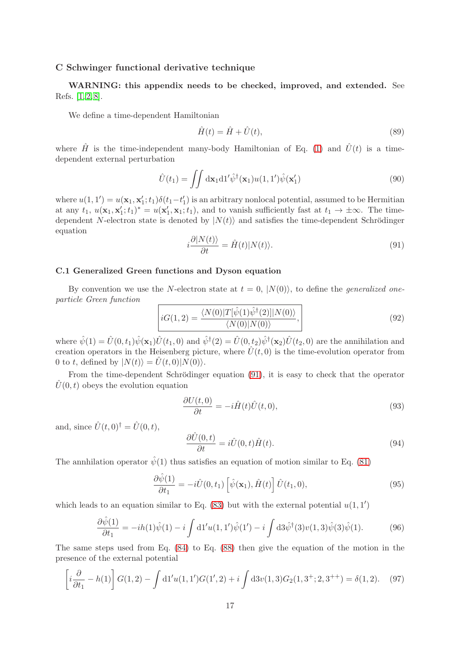#### <span id="page-16-0"></span>C Schwinger functional derivative technique

WARNING: this appendix needs to be checked, improved, and extended. See Refs. [\[1,](#page-18-0) [2,](#page-18-2) [8\]](#page-18-3).

We define a time-dependent Hamiltonian

$$
\hat{H}(t) = \hat{H} + \hat{U}(t),\tag{89}
$$

where  $\hat{H}$  is the time-independent many-body Hamiltonian of Eq. [\(1\)](#page-1-6) and  $\hat{U}(t)$  is a timedependent external perturbation

<span id="page-16-2"></span>
$$
\hat{U}(t_1) = \iint d\mathbf{x}_1 d1' \hat{\psi}^\dagger(\mathbf{x}_1) u(1,1') \hat{\psi}(\mathbf{x}'_1)
$$
\n(90)

where  $u(1,1') = u(\mathbf{x}_1, \mathbf{x}'_1; t_1) \delta(t_1-t'_1)$  is an arbitrary nonlocal potential, assumed to be Hermitian at any  $t_1, u(\mathbf{x}_1, \mathbf{x}'_1; t_1)^* = u(\mathbf{x}'_1, \mathbf{x}_1; t_1)$ , and to vanish sufficiently fast at  $t_1 \to \pm \infty$ . The timedependent N-electron state is denoted by  $|N(t)\rangle$  and satisfies the time-dependent Schrödinger equation

<span id="page-16-1"></span>
$$
i\frac{\partial |N(t)\rangle}{\partial t} = \hat{H}(t)|N(t)\rangle.
$$
\n(91)

#### C.1 Generalized Green functions and Dyson equation

By convention we use the N-electron state at  $t = 0$ ,  $|N(0)\rangle$ , to define the *generalized one*particle Green function

$$
iG(1,2) = \frac{\langle N(0)|T[\hat{\psi}(1)\hat{\psi}^{\dagger}(2)]|N(0)\rangle}{\langle N(0)|N(0)\rangle},
$$
\n(92)

where  $\hat{\psi}(1) = \hat{U}(0, t_1)\hat{\psi}(\mathbf{x}_1)\hat{U}(t_1, 0)$  and  $\hat{\psi}^{\dagger}(2) = \hat{U}(0, t_2)\hat{\psi}^{\dagger}(\mathbf{x}_2)\hat{U}(t_2, 0)$  are the annihilation and creation operators in the Heisenberg picture, where  $\hat{U}(t,0)$  is the time-evolution operator from 0 to t, defined by  $|N(t)\rangle = U(t, 0)|N(0)\rangle$ .

From the time-dependent Schrödinger equation [\(91\)](#page-16-1), it is easy to check that the operator  $\hat{U}(0, t)$  obeys the evolution equation

$$
\frac{\partial U(t,0)}{\partial t} = -i\hat{H}(t)\hat{U}(t,0),\tag{93}
$$

and, since  $\hat{U}(t, 0)^{\dagger} = \hat{U}(0, t)$ ,

$$
\frac{\partial \hat{U}(0,t)}{\partial t} = i\hat{U}(0,t)\hat{H}(t). \tag{94}
$$

The annhilation operator  $\hat{\psi}(1)$  thus satisfies an equation of motion similar to Eq. [\(81\)](#page-15-1)

$$
\frac{\partial \hat{\psi}(1)}{\partial t_1} = -i\hat{U}(0, t_1) \left[ \hat{\psi}(\mathbf{x}_1), \hat{H}(t) \right] \hat{U}(t_1, 0),\tag{95}
$$

which leads to an equation similar to Eq.  $(83)$  but with the external potential  $u(1,1)$ 

$$
\frac{\partial \hat{\psi}(1)}{\partial t_1} = -ih(1)\hat{\psi}(1) - i \int d1' u(1,1')\hat{\psi}(1') - i \int d3\hat{\psi}^{\dagger}(3)v(1,3)\hat{\psi}(3)\hat{\psi}(1). \tag{96}
$$

The same steps used from Eq. [\(84\)](#page-15-3) to Eq. [\(88\)](#page-15-4) then give the equation of the motion in the presence of the external potential

$$
\left[i\frac{\partial}{\partial t_1} - h(1)\right] G(1,2) - \int d1' u(1,1')G(1',2) + i \int d3v(1,3)G_2(1,3^+;2,3^{++}) = \delta(1,2). \tag{97}
$$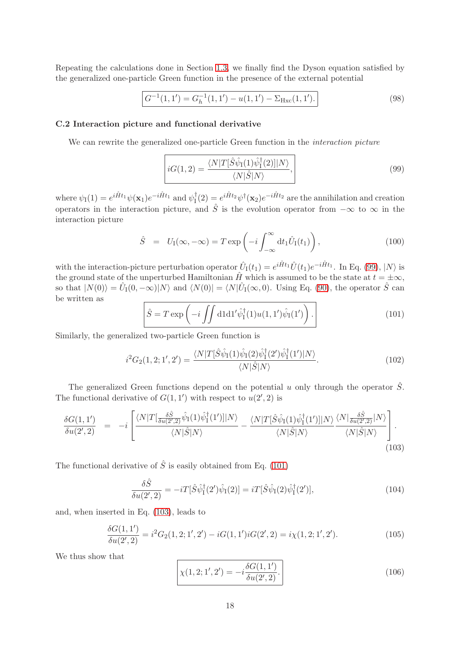Repeating the calculations done in Section [1.3,](#page-3-0) we finally find the Dyson equation satisfied by the generalized one-particle Green function in the presence of the external potential

$$
G^{-1}(1,1') = G_h^{-1}(1,1') - u(1,1') - \Sigma_{Hxc}(1,1').
$$
\n(98)

#### C.2 Interaction picture and functional derivative

We can rewrite the generalized one-particle Green function in the *interaction picture* 

<span id="page-17-1"></span>
$$
iG(1,2) = \frac{\langle N|T[\hat{S}\hat{\psi}_{I}(1)\hat{\psi}_{I}^{\dagger}(2)]|N\rangle}{\langle N|\hat{S}|N\rangle},\tag{99}
$$

where  $\psi_{\mathbf{I}}(1) = e^{i\hat{H}t_1} \psi(\mathbf{x}_1) e^{-i\hat{H}t_1}$  and  $\psi_{\mathbf{I}}^{\dagger}$  $I_1^{\dagger}(2) = e^{i\hat{H}t_2}\psi^{\dagger}(\mathbf{x}_2)e^{-i\hat{H}t_2}$  are the annihilation and creation operators in the interaction picture, and  $\hat{S}$  is the evolution operator from  $-\infty$  to  $\infty$  in the interaction picture

$$
\hat{S} = U_{\rm I}(\infty, -\infty) = T \exp\left(-i \int_{-\infty}^{\infty} dt_1 \hat{U}_{\rm I}(t_1)\right),\tag{100}
$$

with the interaction-picture perturbation operator  $\hat{U}_{I}(t_1) = e^{i\hat{H}t_1} \hat{U}(t_1) e^{-i\hat{H}t_1}$ . In Eq. [\(99\)](#page-17-1),  $|N\rangle$  is the ground state of the unperturbed Hamiltonian  $\hat{H}$  which is assumed to be the state at  $t = \pm \infty$ , so that  $|N(0)\rangle = \hat{U}_{I}(0, -\infty)|N\rangle$  and  $\langle N(0)| = \langle N|\hat{U}_{I}(\infty, 0)$ . Using Eq. [\(90\)](#page-16-2), the operator  $\hat{S}$  can be written as

<span id="page-17-2"></span>
$$
\hat{S} = T \exp\left(-i \iint \mathrm{d}1 \mathrm{d}1' \hat{\psi}_I^\dagger(1) u(1,1') \hat{\psi}_I(1')\right). \tag{101}
$$

Similarly, the generalized two-particle Green function is

$$
i^2 G_2(1,2;1',2') = \frac{\langle N|T[\hat{S}\hat{\psi}_I(1)\hat{\psi}_I(2)\hat{\psi}_I^\dagger(2')\hat{\psi}_I^\dagger(1')|N\rangle}{\langle N|\hat{S}|N\rangle}.\tag{102}
$$

The generalized Green functions depend on the potential u only through the operator  $\hat{S}$ . The functional derivative of  $G(1,1')$  with respect to  $u(2', 2)$  is

<span id="page-17-3"></span>
$$
\frac{\delta G(1,1')}{\delta u(2',2)} = -i \left[ \frac{\langle N|T[\frac{\delta \hat{S}}{\delta u(2',2)} \hat{\psi}_I(1) \hat{\psi}_I^{\dagger}(1')]|N\rangle}{\langle N|\hat{S}|N\rangle} - \frac{\langle N|T[\hat{S}\hat{\psi}_I(1) \hat{\psi}_I^{\dagger}(1')]|N\rangle}{\langle N|\hat{S}|N\rangle} \frac{\langle N|\frac{\delta \hat{S}}{\delta u(2',2)}|N\rangle}{\langle N|\hat{S}|N\rangle} \right].
$$
\n(103)

The functional derivative of  $\hat{S}$  is easily obtained from Eq. [\(101\)](#page-17-2)

$$
\frac{\delta\hat{S}}{\delta u(2',2)} = -iT[\hat{S}\hat{\psi}_I^\dagger(2')\hat{\psi}_I(2)] = iT[\hat{S}\hat{\psi}_I(2)\hat{\psi}_I^\dagger(2')],\tag{104}
$$

and, when inserted in Eq. [\(103\)](#page-17-3), leads to

$$
\frac{\delta G(1,1')}{\delta u(2',2)} = i^2 G_2(1,2;1',2') - iG(1,1')iG(2',2) = i\chi(1,2;1',2').
$$
\n(105)

We thus show that

<span id="page-17-0"></span>
$$
\chi(1,2;1',2') = -i\frac{\delta G(1,1')}{\delta u(2',2)}.
$$
\n(106)